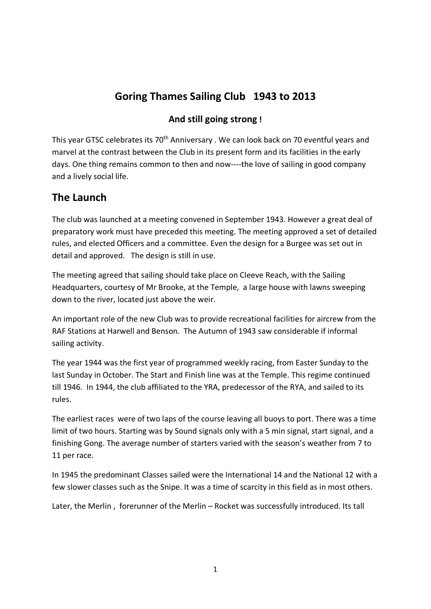# **Goring Thames Sailing Club 1943 to 2013**

### **And still going strong !**

This year GTSC celebrates its 70<sup>th</sup> Anniversary . We can look back on 70 eventful years and marvel at the contrast between the Club in its present form and its facilities in the early days. One thing remains common to then and now----the love of sailing in good company and a lively social life.

## **The Launch**

The club was launched at a meeting convened in September 1943. However a great deal of preparatory work must have preceded this meeting. The meeting approved a set of detailed rules, and elected Officers and a committee. Even the design for a Burgee was set out in detail and approved. The design is still in use.

The meeting agreed that sailing should take place on Cleeve Reach, with the Sailing Headquarters, courtesy of Mr Brooke, at the Temple, a large house with lawns sweeping down to the river, located just above the weir.

An important role of the new Club was to provide recreational facilities for aircrew from the RAF Stations at Harwell and Benson. The Autumn of 1943 saw considerable if informal sailing activity.

The year 1944 was the first year of programmed weekly racing, from Easter Sunday to the last Sunday in October. The Start and Finish line was at the Temple. This regime continued till 1946. In 1944, the club affiliated to the YRA, predecessor of the RYA, and sailed to its rules.

The earliest races were of two laps of the course leaving all buoys to port. There was a time limit of two hours. Starting was by Sound signals only with a 5 min signal, start signal, and a finishing Gong. The average number of starters varied with the season's weather from 7 to 11 per race.

In 1945 the predominant Classes sailed were the International 14 and the National 12 with a few slower classes such as the Snipe. It was a time of scarcity in this field as in most others.

Later, the Merlin , forerunner of the Merlin – Rocket was successfully introduced. Its tall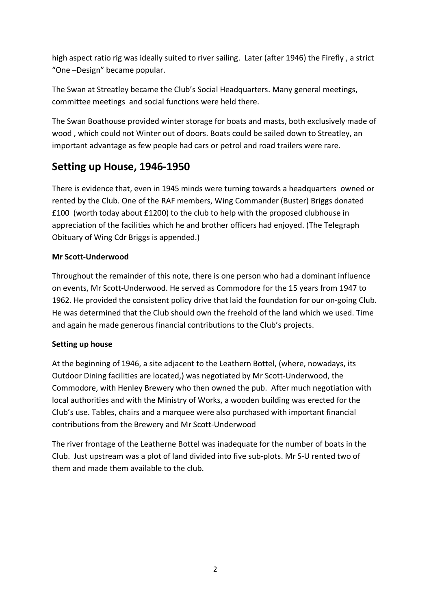high aspect ratio rig was ideally suited to river sailing. Later (after 1946) the Firefly , a strict "One –Design" became popular.

The Swan at Streatley became the Club's Social Headquarters. Many general meetings, committee meetings and social functions were held there.

The Swan Boathouse provided winter storage for boats and masts, both exclusively made of wood , which could not Winter out of doors. Boats could be sailed down to Streatley, an important advantage as few people had cars or petrol and road trailers were rare.

## **Setting up House, 1946-1950**

There is evidence that, even in 1945 minds were turning towards a headquarters owned or rented by the Club. One of the RAF members, Wing Commander (Buster) Briggs donated £100 (worth today about £1200) to the club to help with the proposed clubhouse in appreciation of the facilities which he and brother officers had enjoyed. (The Telegraph Obituary of Wing Cdr Briggs is appended.)

#### **Mr Scott-Underwood**

Throughout the remainder of this note, there is one person who had a dominant influence on events, Mr Scott-Underwood. He served as Commodore for the 15 years from 1947 to 1962. He provided the consistent policy drive that laid the foundation for our on-going Club. He was determined that the Club should own the freehold of the land which we used. Time and again he made generous financial contributions to the Club's projects.

#### **Setting up house**

At the beginning of 1946, a site adjacent to the Leathern Bottel, (where, nowadays, its Outdoor Dining facilities are located,) was negotiated by Mr Scott-Underwood, the Commodore, with Henley Brewery who then owned the pub. After much negotiation with local authorities and with the Ministry of Works, a wooden building was erected for the Club's use. Tables, chairs and a marquee were also purchased with important financial contributions from the Brewery and Mr Scott-Underwood

The river frontage of the Leatherne Bottel was inadequate for the number of boats in the Club. Just upstream was a plot of land divided into five sub-plots. Mr S-U rented two of them and made them available to the club.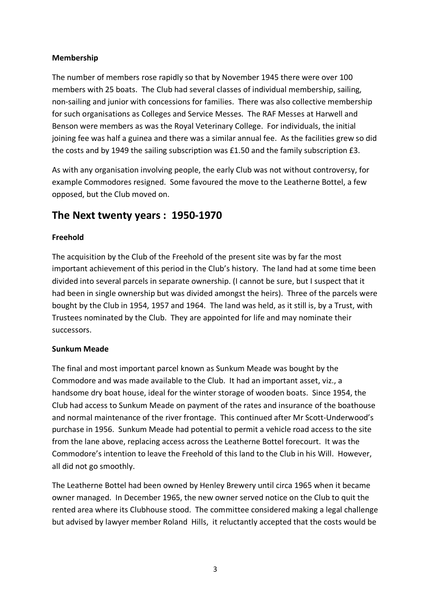#### **Membership**

The number of members rose rapidly so that by November 1945 there were over 100 members with 25 boats. The Club had several classes of individual membership, sailing, non-sailing and junior with concessions for families. There was also collective membership for such organisations as Colleges and Service Messes. The RAF Messes at Harwell and Benson were members as was the Royal Veterinary College. For individuals, the initial joining fee was half a guinea and there was a similar annual fee. As the facilities grew so did the costs and by 1949 the sailing subscription was £1.50 and the family subscription £3.

As with any organisation involving people, the early Club was not without controversy, for example Commodores resigned. Some favoured the move to the Leatherne Bottel, a few opposed, but the Club moved on.

## **The Next twenty years : 1950-1970**

#### **Freehold**

The acquisition by the Club of the Freehold of the present site was by far the most important achievement of this period in the Club's history. The land had at some time been divided into several parcels in separate ownership. (I cannot be sure, but I suspect that it had been in single ownership but was divided amongst the heirs). Three of the parcels were bought by the Club in 1954, 1957 and 1964. The land was held, as it still is, by a Trust, with Trustees nominated by the Club. They are appointed for life and may nominate their successors.

#### **Sunkum Meade**

The final and most important parcel known as Sunkum Meade was bought by the Commodore and was made available to the Club. It had an important asset, viz., a handsome dry boat house, ideal for the winter storage of wooden boats. Since 1954, the Club had access to Sunkum Meade on payment of the rates and insurance of the boathouse and normal maintenance of the river frontage. This continued after Mr Scott-Underwood's purchase in 1956. Sunkum Meade had potential to permit a vehicle road access to the site from the lane above, replacing access across the Leatherne Bottel forecourt. It was the Commodore's intention to leave the Freehold of this land to the Club in his Will. However, all did not go smoothly.

The Leatherne Bottel had been owned by Henley Brewery until circa 1965 when it became owner managed. In December 1965, the new owner served notice on the Club to quit the rented area where its Clubhouse stood. The committee considered making a legal challenge but advised by lawyer member Roland Hills, it reluctantly accepted that the costs would be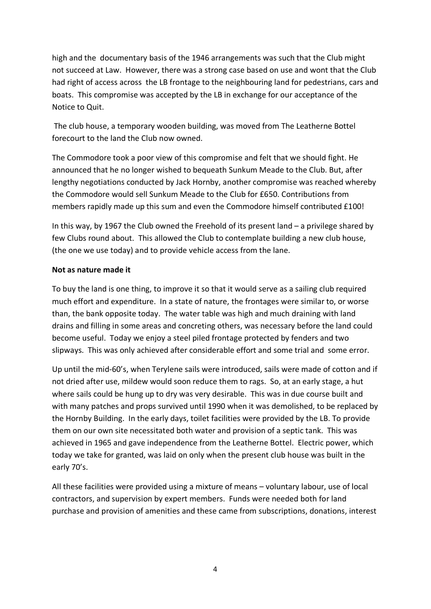high and the documentary basis of the 1946 arrangements was such that the Club might not succeed at Law. However, there was a strong case based on use and wont that the Club had right of access across the LB frontage to the neighbouring land for pedestrians, cars and boats. This compromise was accepted by the LB in exchange for our acceptance of the Notice to Quit.

The club house, a temporary wooden building, was moved from The Leatherne Bottel forecourt to the land the Club now owned.

The Commodore took a poor view of this compromise and felt that we should fight. He announced that he no longer wished to bequeath Sunkum Meade to the Club. But, after lengthy negotiations conducted by Jack Hornby, another compromise was reached whereby the Commodore would sell Sunkum Meade to the Club for £650. Contributions from members rapidly made up this sum and even the Commodore himself contributed £100!

In this way, by 1967 the Club owned the Freehold of its present land – a privilege shared by few Clubs round about. This allowed the Club to contemplate building a new club house, (the one we use today) and to provide vehicle access from the lane.

#### **Not as nature made it**

To buy the land is one thing, to improve it so that it would serve as a sailing club required much effort and expenditure. In a state of nature, the frontages were similar to, or worse than, the bank opposite today. The water table was high and much draining with land drains and filling in some areas and concreting others, was necessary before the land could become useful. Today we enjoy a steel piled frontage protected by fenders and two slipways. This was only achieved after considerable effort and some trial and some error.

Up until the mid-60's, when Terylene sails were introduced, sails were made of cotton and if not dried after use, mildew would soon reduce them to rags. So, at an early stage, a hut where sails could be hung up to dry was very desirable. This was in due course built and with many patches and props survived until 1990 when it was demolished, to be replaced by the Hornby Building. In the early days, toilet facilities were provided by the LB. To provide them on our own site necessitated both water and provision of a septic tank. This was achieved in 1965 and gave independence from the Leatherne Bottel. Electric power, which today we take for granted, was laid on only when the present club house was built in the early 70's.

All these facilities were provided using a mixture of means – voluntary labour, use of local contractors, and supervision by expert members. Funds were needed both for land purchase and provision of amenities and these came from subscriptions, donations, interest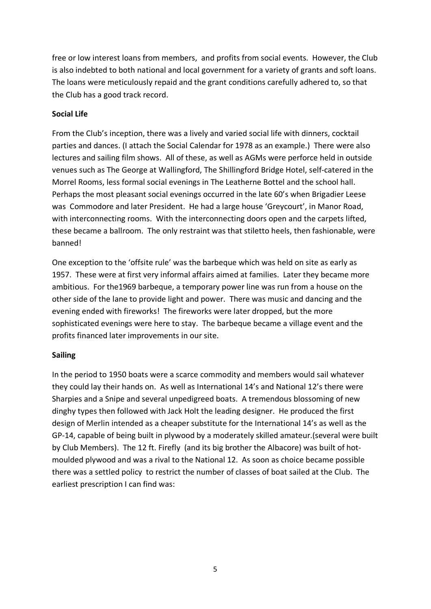free or low interest loans from members, and profits from social events. However, the Club is also indebted to both national and local government for a variety of grants and soft loans. The loans were meticulously repaid and the grant conditions carefully adhered to, so that the Club has a good track record.

#### **Social Life**

From the Club's inception, there was a lively and varied social life with dinners, cocktail parties and dances. (I attach the Social Calendar for 1978 as an example.) There were also lectures and sailing film shows. All of these, as well as AGMs were perforce held in outside venues such as The George at Wallingford, The Shillingford Bridge Hotel, self-catered in the Morrel Rooms, less formal social evenings in The Leatherne Bottel and the school hall. Perhaps the most pleasant social evenings occurred in the late 60's when Brigadier Leese was Commodore and later President. He had a large house 'Greycourt', in Manor Road, with interconnecting rooms. With the interconnecting doors open and the carpets lifted, these became a ballroom. The only restraint was that stiletto heels, then fashionable, were banned!

One exception to the 'offsite rule' was the barbeque which was held on site as early as 1957. These were at first very informal affairs aimed at families. Later they became more ambitious. For the1969 barbeque, a temporary power line was run from a house on the other side of the lane to provide light and power. There was music and dancing and the evening ended with fireworks! The fireworks were later dropped, but the more sophisticated evenings were here to stay. The barbeque became a village event and the profits financed later improvements in our site.

#### **Sailing**

In the period to 1950 boats were a scarce commodity and members would sail whatever they could lay their hands on. As well as International 14's and National 12's there were Sharpies and a Snipe and several unpedigreed boats. A tremendous blossoming of new dinghy types then followed with Jack Holt the leading designer. He produced the first design of Merlin intended as a cheaper substitute for the International 14's as well as the GP-14, capable of being built in plywood by a moderately skilled amateur.(several were built by Club Members). The 12 ft. Firefly (and its big brother the Albacore) was built of hotmoulded plywood and was a rival to the National 12. As soon as choice became possible there was a settled policy to restrict the number of classes of boat sailed at the Club. The earliest prescription I can find was: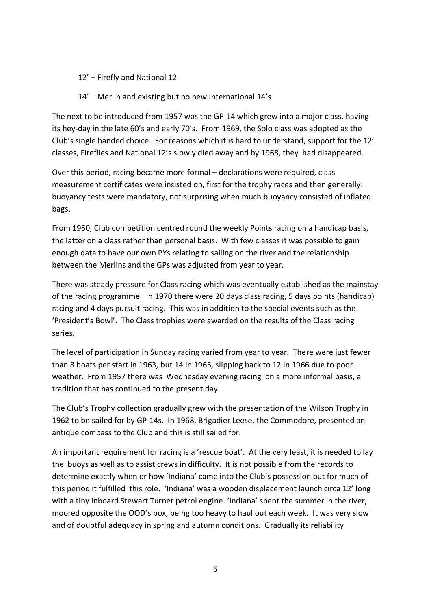- 12' Firefly and National 12
- 14' Merlin and existing but no new International 14's

The next to be introduced from 1957 was the GP-14 which grew into a major class, having its hey-day in the late 60's and early 70's. From 1969, the Solo class was adopted as the Club's single handed choice. For reasons which it is hard to understand, support for the 12' classes, Fireflies and National 12's slowly died away and by 1968, they had disappeared.

Over this period, racing became more formal – declarations were required, class measurement certificates were insisted on, first for the trophy races and then generally: buoyancy tests were mandatory, not surprising when much buoyancy consisted of inflated bags.

From 1950, Club competition centred round the weekly Points racing on a handicap basis, the latter on a class rather than personal basis. With few classes it was possible to gain enough data to have our own PYs relating to sailing on the river and the relationship between the Merlins and the GPs was adjusted from year to year.

There was steady pressure for Class racing which was eventually established as the mainstay of the racing programme. In 1970 there were 20 days class racing, 5 days points (handicap) racing and 4 days pursuit racing. This was in addition to the special events such as the 'President's Bowl'. The Class trophies were awarded on the results of the Class racing series.

The level of participation in Sunday racing varied from year to year. There were just fewer than 8 boats per start in 1963, but 14 in 1965, slipping back to 12 in 1966 due to poor weather. From 1957 there was Wednesday evening racing on a more informal basis, a tradition that has continued to the present day.

The Club's Trophy collection gradually grew with the presentation of the Wilson Trophy in 1962 to be sailed for by GP-14s. In 1968, Brigadier Leese, the Commodore, presented an antique compass to the Club and this is still sailed for.

An important requirement for racing is a 'rescue boat'. At the very least, it is needed to lay the buoys as well as to assist crews in difficulty. It is not possible from the records to determine exactly when or how 'Indiana' came into the Club's possession but for much of this period it fulfilled this role. 'Indiana' was a wooden displacement launch circa 12' long with a tiny inboard Stewart Turner petrol engine. 'Indiana' spent the summer in the river, moored opposite the OOD's box, being too heavy to haul out each week. It was very slow and of doubtful adequacy in spring and autumn conditions. Gradually its reliability